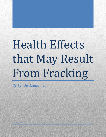# Health Effects that May Result From Fracking

*By Lynda Asadourian*

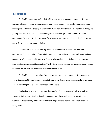# **Introduction**

The health impact that hydraulic fracking may have on humans is important for the fracking situation because health is usually individuals' biggest concern. Health is something that impacts individuals directly in an uncontrollable way. If individuals did not feel that they are putting their health at risk, then the fracking situation would gain more support from the community. However, if it is proven that fracking causes serious negative health effects, then the entire fracking situation could be halted.

The connection between fracking and its possible health impacts stirs up some controversy. The uncertainty of this relationship makes individuals feel uncomfortable and not supportive of this industry. Exposure to fracking chemicals is not strictly regulated, making individuals skeptical about the situation. The fracking chemicals used are known to pose a threat to human health, so it's a controversy why they are allowed.

The health concern that arises from the fracking situation is important for the general public because public health may be at risk. Large-scale studies about this matter have not been done to help the public's health knowledge on this issue.

Having knowledge about this issue is not only valuable to those who live in a close proximity to fracking sites, but it is also important for other members in our society—the workers at these fracking sites, for public health organizations, health care professionals, and many more.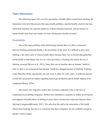# **Topic Discussion**

The following report will cover the uncertainty of health effects caused from fracking, the chemicals involved in this process that cause health problems, reported health concerns that may result from fracking, the exposure pathways of these fracking chemicals, and an analysis of human health issue from case studies of where fracking has already occurred.

## **Uncertainty**

One of the main problems when determining whether there is a direct connection between fracking and human health is the uncertainty of the issue. It is difficult to prove that fracking is the main cause of various health effects because there was no formal data gathering on the health of individuals who live in a close proximity to fracking sites before the act of fracking occurred (Brown et al., 2012). Since there are no baseline data on humans' health to refer to, there is no actual proof that humans' health has changed because of fracking. Fracking of the Marcellus Shale, specifically, has only been in effect for a few years. A sufficient amount of time has not passed for studies regarding natural gas production and its health impacts to be completed (Button, 2010).

One reason why long-term studies have not been conducted is due to the lack of cooperation from drilling companies. Drillers have declined to cooperate in studies involving the investigation of health effects of drilling in areas where citizens have expressed illnesses from fracking (Lustgarten&Kusnetz, 2011). Not only does this add to the uncertainty of the health effects from fracking, but also it is worrisome that these companies are not confident enough to partake in these studies.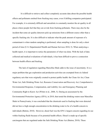It is difficult to retrieve and collect completely accurate data about the possible health effects and pollutants emitted from fracking may cause, even if drilling companies participated. For example, it is extremely difficult and unrealistic to constantly monitor the air quality in all places where people feel that they are at risk from fracking pollutants. There may also be the incident that some air quality detectors pick up emissions from a different source other than a specific fracking site. It is also difficult to indicate what the peak amount of exposure of a contaminant is when random sampling is performed, when sampling is done for only a short period of time (U.S. Departmentof Health and Human Services 2010, 5). When analyzing a health report, it is important to notice the parameters of what was done. With the lack of data collected and medical evaluations of individuals, it has been difficult to prove a connection between health effects and fracking.

The lack of regulation regarding Marcellus Shale adds to the issue of uncertainty. It is a major problem that gas exploration and production activities are exempted from six federal regulatory acts that were originally created to protect public health: the Clean Air Act, Clean Water Act, Safe Drinking Water Act, Resource Conservation and Recovery Act, Comprehensive Environmental Response, Compensation, and Liability Act, and Emergency Planning and Community Right to Know Act (Witter et al., 2008, 5). During an assessment by the Environmental Protection Agency (EPA), in 2010, that tested the drinking waters near Marcellus Shale in Pennsylvania, it was concluded that the chemicals used in fracking that were detected did not have a high enough concentration in the drinking water to be of a health concern to individuals (Button, 2010). However, diesel fuel was the EPA's largest concern regarding its use within fracking fluids because of its potential health effects. Diesel is made up of specific carcinogens that are regulated under the Safe Drinking Water Act (Button, 2010). These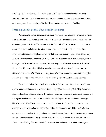carcinogenic chemicals that make up diesel are also the only compounds out of the many fracking fluids used that are regulated under this act. The use of these chemicals causes a lot of controversy over the uncertainty of the health issues that may exist from fracking.

#### **Fracking Chemicals that Cause Health Problems**

As mentioned before, companies are required to report the names of chemicals and gases used in fracking. It has been reported that 37% of chemicals used in the extraction and refining of natural gas can volatilize (Garrison et al. 2011, 676). Volatile substances are chemicals that evaporate quickly and change form into a vapor very rapidly. Nail polish made up of the chemical acetone is an example of something that volatizes; once it is poured out, it dries very quickly. Of these volatile chemicals, 81% of them have major effects on human health, such as damage to the brain and nervous systems, because they can be inhaled, ingested, or absorbed through the skin very easily. This is why volatile compounds are of such a great concern (Garrison et al. 2011, 676). There are three groups of volatile compounds used in fracking that have adverse effects on human health—ozone, hydrogen sulfide, and BTEX compounds.

Ozone "naturally exists at high altitudes above the earth's surface and acts as a barrier against solar radiation and intensified surface heating" (Garrison et al., 2011, 676). Ozone can also develop at low altitudes when hydrocarbons, which are compounds made up of carbons and hydrogens like benzene, are combusted during the drilling and the production of oil and gas (Garrison et al., 2011). This is when ozone hinders carbon dioxide and oxygen exchange as ozone molecules accumulate in lungs and directly affect human health. This "can lead to early aging of the lungs and result in symptoms such as asthma, respiratory inflammation, emphysema, and other pulmonary disorders" (Garrison et al. 2011, 676). In the Dallas-Fort Worth area in Texas, where drilling sites are present, there was an elevated level of recorded carcinogenic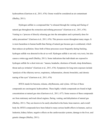hydrocarbons (Garrison et al., 2011, 676). Ozone would be considered an air contaminant (Shelley, 2011).

Hydrogen sulfide is a compound that "is released through the venting and flaring of natural gas throughout the extraction and refining processes" (Garrison et al., 2011, 676). Venting is a "process of directly releasing gas into the atmosphere and is primarily done for safety precautions" (Garrison et al., 2011, 676). This process occurs throughout many stages. It is more hazardous to human health than flaring of natural gas because gas is combusted, which then reduces air pollution. Since both of these processes occur frequently during fracking, hydrogen sulfide was detected in the air as well. Hydrogen sulfide is not only very toxic, but also causes a rotten egg smell (Shelley, 2011). Some indications that individuals are exposed to hydrogen sulfide for a short term are: "nausea, headache, shortness of breath, sleep disturbance, throat and eye irritation" (Garrison et al., 2011, 676). Symptoms for long-term exposure include "paralysis of the olfactory nerves, respiratory, inflammation, chronic bronchitis, and chronic tearing of the eyes" (Garrison et al., 2011, 676)

BTEX stands for benzene, toluene, ethylbenzene, and xylene. All four of these compounds are carcinogenic hydrocarbons. These highly volatile compounds are found in high concentrations at natural gas sites (Garrison et al., 2011, 677). Some sources of these compounds are from stationary and truck diesel engines, flaring, venting, and dehydration of natural gas (Shelley, 2011). They are known to be easily absorbed in the brain, bone marrow, and overall body fat. BTEX compounds have been linked to many serious health effects in humans, such as leukemia, kidney failure, negative effects on the cardiovascular systems, damage to the liver, and genetic changes (Shelley, 2011).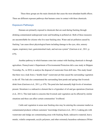These three groups are the main chemicals that cause the most abundant health effects. There are different exposure pathways that humans come in contact with these chemicals.

## **Exposure Pathways**

Humans are primarily exposed to chemicals that are used during fracking through drinking contaminated underground water and breathing in polluted air. Both of these measures are uncontrollable for citizens who live near fracking sites. Water and air pollution caused by fracking "can cause direct physiological harm including damage to the eyes, skin, sensory organs, respiratory tract, gastrointestinal track, and nervous system" (Garrison et al., 2011, p. 679).

Another pathway in which humans come into contact with fracking chemicals is through agriculture. Pennsylvania's Department of Environmental Protection did a case study in Shippen Township, Pa., in 2010, to analyze the disposal of wastewater from drill sites. This study found that there was a leak from a "double lined" wastewater pit that caused the surrounding vegetation to die off. This leak also contaminated the surrounding farm ponds and springs that livestock drink from (Garrison et al., 2011, p. 679). The pond also had unusually high levels of strontium present. Strontium is a radioactive element that is a byproduct of oil and gas operations (Garrison et al., 2011). This leak leads to concerns that livestock and vegetation can be affected by similar situations and these can affect certain communities' livelihood.

Cattle and vegetation in areas near fracking sites may be entering the consumer market as contaminated products without customers' knowledge (Garrison et al., 2011). Leaking pits with wastewater and sludge are contaminating areas with fracking fluids, radioactive material, heavy metals, volatile compounds, acrylic polymers, and other extremely hazardous substances (Witter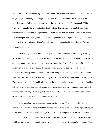et al., 2008). Soils are then taking up all these chemicals, which then contaminate the consumer crops. Crops also undergo stunted growth because of the increased release of methane and other volatile compounds into the air caused by the flaring at frackingsites (Garrison et al. 2011). These crops can also be used as feed for the livestock. There is maybe a link between cattle reproduction and gas extraction procedures. A study found that "an increased risk of stillbirths linked to exposure to flaring sour gas (gas with high levels of hydrogen sulfide)" (Garrison et al. 2011, p. 679). Not only does this affect agricultural and human health, but it is also affecting farmers financially.

Another way in which individuals experience health problems from fracking is through stress. Fracking causes great stress to a community. An area in which extraction of natural gas or any other natural resource occurs, experiences a "boom-bust" cycle (Brasier et al., 2011). This is when there is a sudden growth and decline in a community. The decline occurs once the resources are used up and individuals do not receive any more advantages being present in that area. Bradford County, Pa., is where fracking occurs and is experiencing the boom part of cycle. This area has experienced a sudden increase in the population because of the increase in fracking activity. There is an influx of workers and other individuals who are coming into this area as the fracking and economy activities grow (Brasier et al., 2011). This area experiences community stresses, which in turn, affects the individuals in the area.

It has been known that stress can cause mental illnesses. A clinical psychologist in Hawley, Pa., Kathryn Vennie, stated that she has seen patients "who are seeking support because of the disruption to their environment" (Brasch, 2012). Fracking can cause anxiety to individuals, which Venniestates, "can produce mental and physical problems." Other psychological health problems may occur in communities that experience inadequacies from population booms. There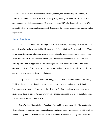tends to be an "increased prevalence of 'divorce, suicide, and alcoholism [are common] in impacted communities'" (Garrison et al., 2011, p. 679). During the boom part of the cycle, a community most likely experiences a "degraded quality of life" (Garrison et al., 2011, p. 679). A lot of hostility is present in the community because of the stresses fracking may impose on the individuals.

## **Health Problems**

There is no definite list of health problems that are directly caused by fracking, but there are individuals who have reported health changes and claim it is from fracking pollutants. Those living closer to fracking sites have reported higher rates of symptoms and health changes (Gas Patch Roulette, 2012). Doctors and toxicologists have stated that individuals who live near fracking sites often exaggerate their health changes and these beliefs are usually short lived (Lustgarten&Kusnetz). Below are some examples of individuals who have claimed their illnesses are from being exposed to fracking pollutants.

Mary McConnell is from Bedford County, Pa., and lives near the Columbia Gas Storage Field. She breathes in air that she claims has pollutants in it. She has headaches, difficulty breathing, sore muscles, and some other health issues. She had blood drawn, and there were levels of methane detected. She currently wears a gas mask around her house to avoid impairing her health even further (Zook, 2010).

Susan Wallace Babbs is from Parachute, Co., and lives near gas wells. She breathes in chemicals such as benzene, a carcinogen, tetrachloroethene, a dry-cleaning solvent (NY Dept. of Health, 2003), and 1,4-dichlorobenzene, used to fumigate moths (EPA, 2007). She claims she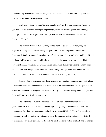was vomiting, had diarrhea, lesions, body pain, and an elevated heart rate. Her neighbors also had similar symptoms (Lustgarten&Kusnetz).

The Strudley family is from Garfield County, Co. They live near an Antero Resources gas well. They experience two exposure pathways, which are breathing in air and drinking underground water. Some symptoms they experience are rashes, nosebleeds, and sudden blackouts (Colson).

The Parr family live in Wise County, Texas, near 21 gas wells. They say they are exposed to flaring contaminants through air pollution. Lisa Parr's symptoms are rashes, breathing difficulties, nausea, headaches, loss of balance, and other neurological problems. Her husband Bob's symptoms are nosebleeds, balance, and other neurological problems. Their daughter Emma's symptoms are asthma, rashes, and nausea. Lisa stated that she compared her medical bills with a log of spills, releases, and air testing from gas wells. She claims that her medical incidences correspond with these environmental events (Parr, 2010).

It is important to remember that these examples may be skewed because these individuals live near fracking sites and are most likely against it. A physician may not have diagnosed these cases and stated that fracking was the cause. But it is good to be informed by these examples and have an idea of what fracking may cause.

The Endocrine Disruption Exchange (TEDX) created a summary statement of the potential health effects of chemicals used during fracking. They discovered that 47% of the products used during frackingcontains endocrine disruptors (TEDX, 2). These "are chemicals that interfere with the endocrine system, including development and reproduction" (TEDX, 2). The endocrine system is essential for the body to function. It is a system of glands and hormones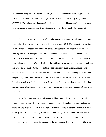that regulate "body growth, response to stress, sexual development and behavior, production and use of insulin, rate of metabolism, intelligence and behavior, and the ability to reproduce" (TEDX, 4). They discovered that crystalline silica, methanol, and isopropanol are the top most used chemicals in fracking. The chemicals cause 7, 11, and 10 health effects, respectively (TEDX, 6).

Just like any type of extraction of natural resources, a community undergoes a boom and bust cycle, which is a rapid growth and decline (Braiser et al. 2012, 34). Having this present in an area affects individuals differently. Resident's attitudes span four stages if they live near a fracking site. The first stage is when these individuals are enthusiastic about the idea. The residents are excited and have positive expectations for the project. The second stage is when they undergo uncertainty of about fracking. The residents are not sure what the long-term effects are, what the health effect may be. The third stage these individuals undergo is panic. The residents realize that there are some unexpected outcomes that affect their daily lives. The fourth stage is adaptation. Once all the natural resources are extracted, the permanent residences need to learn how to adjust to the drastic changes. These stages do not just apply to a community where fracking occurs, they apply applies to any type of extraction of a natural resource. (Braiser et al. 2012, 34)

Since these four stages generally occur within a community, there are many social impacts that are created. Hostility develops among residents throughout this cycle and causes many stresses (Braiser et al 2012, 47). There is a lack of housing created in a community because of the great influx people coming in because of the fracking. This then causes an increase in traffic congestion and traffic violation (Briaser et al. 2012, 47). There are cultural differences that arise between the permanent residents and the new comers. The newcomers don't have an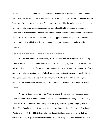attachment and care to a town like the permanent residents do. A division between the "haves" and "have-nots" develop. The "haves" would be the fracking companies and individuals who are benefitting from the fracking activity. The "have-nots" would be the individuals who have been exposed to water or air contamination and have developed health problems. In impacted communities there tends to be an increased rate of divorce, suicide, and alcoholism (Braiser et al. 2012, 49). All these various stresses cause different types of mental and physical problems toward individuals. This is why it is important to note how communities can be negatively impacted.

## **Case Study Analysis: Garfield County, Colorado**

In Garfield County, Co., there are 4,521, oil and gas, active wells (Witter et al., 2008). The Colorado Oil and Gas Conservation Commission (COGCC) reported that there were 1,549 spills in this area between a four-year period, January 2003-March 2008. Twenty percent of these spills involved water contamination. Salts, hydrocarbons, radioactive material, metals, drilling fluids, and sludge were detected in the drinking water (Witter et al. 2008, 4). Having this contamination can lead to a health threat to individuals who live in this area and drink these waters.

A study in 2006 conducted by the Garfield County Board of County Commissioners tested the water sources that individuals use in the area. This included testing domestic wells, water wells, irrigation wells, monitoring wells, air sparging wells, springs, seeps, ponds, and rivers. They found that "out of 184 locations, 135 locations had detectable levels of methane" (Witter et al. 2008, 21). BTEX chemicals were detected at high levels in the areas that were tested that had the highest measurement of methane. This study concluded that areas that had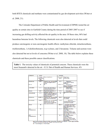both BTEX chemicals and methane were contaminated by gas development activities (Witter et al. 2008, 21).

The Colorado Department of Public Health and Environment (CDPHE) tested the air quality at certain sites in Garfield County during the time period of 2005-2007 to see if increasing gas drilling activity affected the air quality in the area. Of these sites, 86% had hazardous benzene levels. The following chemicals were also detected at levels that could produce carcinogenic or non-carcinogenic health effects: methylene chloride, tetrachoroethene, trichloroethene, 1,4-dichlorobenzene, m,p-xylenes, and 2-hexanone. Toluene and acetone were also detected but not at levels of concerns (Witter et al. 2008, 18). The table below explains these chemicals and these possible cancer classifications.

**Table 1**. The toxicity values of chemicals of potential concern. These chemicals were the most frequently detected in the air. (U.S. Dpt of Health and Human Services, 45)

| Compound                    | Cancer                                                                         |                                                                                                                        | Nonconport                            |                                                                                                                                                          |
|-----------------------------|--------------------------------------------------------------------------------|------------------------------------------------------------------------------------------------------------------------|---------------------------------------|----------------------------------------------------------------------------------------------------------------------------------------------------------|
|                             | <b>Information</b><br><b>Cancer Slope</b><br>facto <sup>-</sup><br>1/mo/ku/day | Carrac classification                                                                                                  | Chronic: RfC<br>( pg/m <sup>a</sup> ) | Тинэн! огран<br>(Crifical editor)                                                                                                                        |
| Acataldehyda                | $0.0077 - 1$                                                                   | Probable humani carcinogen(B2)<br>Massi and laryngeal tumors in<br><b>Animals</b>                                      | 9.0 1                                 | Resciratory<br>(Denemation of Officialty)<br>entheliuml                                                                                                  |
| <b>Aractice and</b>         | M.                                                                             | <b>NO</b>                                                                                                              | STORY A                               | Normal egical<br>(dolayod visual reaction, general<br>weakness, headache)                                                                                |
| 1.3 Butadier o              | $0.1 - 1$                                                                      | Known human care regen(A)<br>Lymphonomalopoidto cancer<br>and be kemia in Louvery.                                     | $2.0 - 1$                             | Reproductive<br><b>Kivarian airceirvi</b>                                                                                                                |
| Bonzono                     | $0.027 +$                                                                      | Known human corpinegen (A)<br>Leukenia in humana                                                                       | 10.0 A                                | Immunological<br>(Decreesed Ivanphoside count)                                                                                                           |
| Crotonaldehyda              | 1.0 ° H                                                                        | Pogabla human carcinopan (C)<br>Hepetic necplastic nodules and<br>hepatocaliular cardiocroa in<br>animale (aral aludy) | MA                                    | <b>MA</b>                                                                                                                                                |
| Ethnicenzane                | 0.00875 C                                                                      | Probable human carcinogen(B2)<br>Ransi tumors in snimals (oral<br>ctudy)                                               | 1000.01                               | <b>Developmental</b><br>(KX mortality)                                                                                                                   |
| For make hyder              | 0.0455.1                                                                       | Probable human carcinogen(B1)<br>Napapheryngeel and lung<br>cancer in humans (limited) and<br>model concordia aviando. | 68.4                                  | Rescindery<br>National colocies in distance<br>henani dasun in kumandi                                                                                   |
| Telupho                     | W.                                                                             |                                                                                                                        | 600001                                | Nourclagical and respiratory<br>(Neuminologi affects: other)<br>effects: degeneration of nasel<br>ecithelium)                                            |
| $1.24 -$<br>Tringth/benzono | MC <sup>1</sup>                                                                |                                                                                                                        | $7.0 - 1$                             | Neurologic, Respiratory,<br>Immunologio<br><b>Okelka: Imabedies.</b><br>drawsiness, anemia, cherco<br>blood acting, chronic asthma-<br>like termediliksi |
| 1.3.6<br>Trimethybenzene    | ю                                                                              |                                                                                                                        | 80 1                                  | Nourologia, Respiratory,<br>Immunologic<br>(Vertign, headerhes,<br>drovrsincce, anomia, chorad<br>blood dolling, chiarloastline-<br>like promotivist     |

Note: Dources of toxicity velues: A= ATGDR -Ninimal Risk Level (MRL); O= Cal EPA; T= EPA-Teast; F-EPA IRIS<br>" Resert on made Homa telesting chall and EPA's local carrier of the factor<br>NG = Non Garainogon; NA= Not Available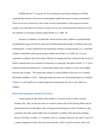CDPHE and the U.S. Agency for Toxic Substances and Disease Registry (ATSDR) concluded that benzene only posed an intermediate health risk because of many uncertainties. There was no way of knowing if the results are truly representative of the exposure because samples were only taken for 24 hours, so there was no way of knowing if the chemicals were at the minimum or maximum exposure peaks (Witter et al. 2008, 18).

Exposure of children is of particular concern because these children are going through developmental stages and may be exposed to harmful chemicals through air pollution and water contamination. A study conducted by the Saccomano Institute in Grand Junction, Co. stated that children in Garfield County had an increase asthma rate (Witter et al. 2008, 26). A survey conducted on children who lived within 1500 feet of fracking facilities in Pennsylvania found 19 health symptoms that were unusual to be present at a young age (Gas patch roulette, 3). A Texas hospital located near drilling sites, "reported that asthma rates currently are three times higher than the state average." This meant that a quarter of young children in the area of six counties had asthma (Matthews, 2012). Although neither the survey nor the hospital report is in Garfield County, it is still significant to acknowledge that fracking sites may have some effects on children.

#### **Work Site Employee Health Concerns**

Another group of individuals whose health is of concern are the workers on these fracking sites. They are the ones who are in direct contact with all the fracking fluids and are putting themselves at the highest risks of being present during an accident. Workers are also exposed to dust that contain high levels of respirable crystalline silica during the fracking process (US Dept. of Labor, 1). Crystalline silica is a common mineral in the earth's crust. It is a major component of sand, clay and stone materials, which is used in concrete, brick, and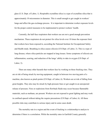glass (U.S. Dept. of Labor, 1). Respirable crystalline silica is a type of crystalline silica that is approximately 10 micrometers in diameter. This is small enough to get caught in workers' lungs and affect the gas-exchange process. It is important to determine worker exposure levels for the proper control measures to be implemented to protect workers' health.

Currently, the half-face respirators that workers use are not a good enough prevention mechanism. These respirators do not protect for silica levels over 10 times the exposure limit that workers have been exposed to, according the National Institute for Occupational Safety and Health study. Breathing in silica causes silicosis (US Dept. of Labor, 3). This is a type of lung disease, where silica particles are trapped in lung tissues. Some symptoms of silicosis are inflammation, scarring, and reduction of the lungs' ability to take in oxygen (US Dept. of Labor, 3).

There are many other hazards that workers face by working on these fracking sites. They are at risk of being struck by moving equipment, caught in between two moving parts of a machine, also known as pinch points (US Dept. of Labor, 6). Workers are at risk of falling from great heights. They also may be struck by high-pressure lines or get caught in an unexpected release of pressure. Fires or explosions from flowback fluids may occur because flammable materials, such as methane, are present. Workers are not exposed to great lighting and may work in confined spaced without taking the require precautions (US Dept. of Labor, 6). All these possible risks may contribute to serious injury and in some cases death.

The mortality rate in a region and the event of fracking is a relationship to analyze to determine if there is a correlation. While the mortality rates in Garfield County generally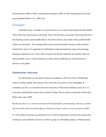decreased from 2000 to 2005, it drastically increased in 2003. In 2003 fracking activity in this area expanded (Witter et al., 2008, 24).

#### **Conclusion**

Garfield County, Colorado, is a good resource to use when analyzing the possible health effects that may arise because of fracking. There still has been no accurate, direct data that prove that fracking causes certain health effects. From this analysis, the trends of the possible health effects are noticeable. The fracking fluids used concerns the public because of the potential hazards they cause. It is important for individuals to take precautionary steps and encourage fracking companies to do so also. More research and stricter regulation are needed. There are many possible ways in which fracking can affect human health that are still not known or obvious to the public.

## **Stakeholder Interview**

Dr. Jill Kriesky was the Senior Project Coordinator at The University of Pittsburgh School of Public Health. She earned a Ph.D. from the University of New Hampshire in economics, an M.S. in economics from the University of Wisconsin-Madison, and a B.A. in economics and political science from Grinnell College. She has been in interested in Marcellus Shale issues since 2009.

**Q***: Because there is so much uncertainty of the health effects from fracking, what do you think that the public and government agencies should be doing in order to protect people's health?*

**A**: At the federal and state government level it would be important to institute the research that would give some definitive answers on what is going on with health impacts. In Pennsylvania,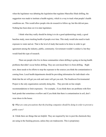when the legislature was debating the legislation that regulates Marcellus Shale drilling, the suggestion was made to institute a health registry, which is a way to track what people's health conditions are. This would allow people who do research to follow up, but this did not pass. Nothing has been done on it in state legislature.

I think what they really should be doing is to do a good epidemiology study, a good baseline study, more tracking health of people over time. This study would also need to track exposure to water and air. That is the level of study that needs to be done in order to get agreement among the industry, public, community. Government wouldn't conduct it, but they would fund this type of research.

There are people who live in these communities where drilling is going on having health problems that didn't occur before drilling. They are convinced that it is from drilling. Right now, there needs to be efforts to stop the exposure to the sources you think the contamination is coming from. Local health departments should be providing information for individuals who think that the air will get you sick and water will get you sick. The Southwest Environmental Project is the only organization currently doing this. They provide on line simple recommendations to limit exposures. For example, if you think there are problems with flow back ponds that sometimes overflow and if you think that there is contamination in soil, don't wear shoes in the house.

**Q***: What are some precautions that the fracking companies should be doing in order to prevent a public scare?*

**A**: I think there are things that are helpful. They are required by law to post the chemicals they are using in the fracking process, unless they are tradesecrets. This is proprietary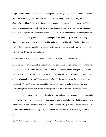proprietaryinformation to keep whatever competitive advantage they have over their competitors. But often other companies can figure out what they are doing. Secrecy over proprietary chemicals should not be allowed. Such secrecy can cause unnecessary concern to the public. Companies are required to test well water in a certain radius from where they are drilling, and now a few companies are going even further. The other thing is to talk to the community in advance in what they will be doing. The changes in the community are disruptive. They should tell how many truck trips there will be and that there will be a lot of noise pollution and traffic. Being more upfront about what is going to happen in the town and what will happen in the backyard if they are drilling there.

#### **Q:** *How have past fracking sites dealt with this concern about health with the public?*

**A:** There are several high-profile cases in which the companies denied that they were impacting residents' health. But there was some serious contamination and people were getting sick. The homeowners end up in court saying that the fracking companies are destroying their water or air quality. Companies have settled and sometimes bought the property from the people with the complaints. We don't know much about this because the companies have people sign nondisclosure agreements so they cannot discuss proof of harm or the terms of the settlement.

I think a regulatory process needs to be in place and enforced to assure that the process is done safely. Are some companies going to make a greater effort to be sure what they are doing is safe? Well they don't want bad publicity. But this varies a lot depending on the companies. To protect all residents near fracking sites, government enforcement of reasonable regulations is key.

**Q:** *What do you think are the most concerning health problems that occur from fracking?*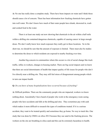**A:** No one has really done a complete study. There have been impacts on water and I think those should cause a lot of concern. There has been information how fracking chemicals have gotten into well water. We don't know how much of that water people have drunk, showered in, wash and cooked food in the water.

There is at least one study out now showing that chemicals in the air within a half-mile within a drilling site contained dangerous chemicals, capable of causing cancer in large enough doses. We don't really know how much exposure they really get in these locations. So in the short run, we should be sure that the amount of exposure is limited. There must also be studies to determine the doses to which residents are exposed to nearby fracking over time.

Another big concern in communities where this occurs is a lot of social change like truck traffic, influx in workers, changes in housing market. There are big social impacts and we know that there are social determinants of health that impact quality of life issues for people who don't live directly near a drilling site. They may still feel stress of disagreement among people which in turn can impact health

#### **Q:** *Do you know of many hospitalizations have occurred because of fracking?*

**A:** Difficult problem. There are the community people who are impacted, workers we know nothing about. Anecdotally I have heard of people who work in the emergency room seeing people who have accidents and falls at the drilling pad sites. They sometimes pay with cash which makes it more difficult to research the types of conditions treated. If it is a serious accident, they want to be treated quickly and sometimes they go home. No way to track this. One study that was done by OSHA on silica 2012 because they use sand in the fracking process. The workers on the site are breathing in silica sand and this can be extremely hazardous to health.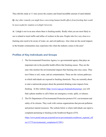They did this study at 11 sites across the country and found incredible amount of sand inhaled.

**Q:** *Any other remarks you might have concerning human health effects from fracking that would be most useful for students at Lehigh University.*

**A:** Lehigh is not in an area where there is fracking nearby. Really what you are most likely to see is related to truck traffic and influx of workers in the area. People who live very close to a fracking sites need to be aware of water, air, and soil pathways. Also what are the social impacts in the broader communities may experience this when the industry comes to the area?

# **Profiles of Key Individuals and Groups**

- 1. The Environmental Protection Agency is a governmental agency that plays an important role in the possible health effects that fracking causes. They are the ones who monitor the environmental impacts that fracking sites may cause. They test if there is soil, water, and air contamination. These are the various pathways in which individuals are exposed to fracking chemicals. They are currently about to start a nationwide project about the potential drinking water impacts from fracking. At this website (<http://www2.epa.gov/hydraulicfracturing>), you will find a phone number to call if there are emergency events, spills, or releases.
- 2. The PA Department of Environmental Protection protects PA's environment and safety of its citizens. They work with various organizations that prevent pollution and protect natural resources. The website below is where individuals can report a complaint pertaining to fracking in the Southwest Region of PA. [\(http://www.portal.state.pa.us/portal/server.pt/c](http://www.portal.state.pa.us/portal/server.pt/)ommunity/southwest\_regional\_off ice/13775/environmental\_complaints/617091)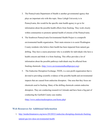- 3. The Pennsylvania Department of Health is another governmental agency that plays an important role with this topic. Since Lehigh University is in Pennsylvania, this would be the specific state health agency to go to for information about the possible health effects from fracking. They work closely within communities to promote optimal health of citizens of the Pennsylvania.
- 4. The Southwest Pennsylvania Environmental Health Project is a nonprofit environmental health organization. Their main mission is to assist Washington County residents who believe their health has been impacted from natural gas drilling. They have a nurse practioner who is available for individuals who have a health concern and think it is from fracking. This office provides a lot of information about the possible pathways individuals may be affected from fracking chemicals. ([http://www.environmentalhealthproject.org\)](http://www.environmentalhealthproject.org)
- 5. The Endocrine Disruption Exchange, TEDX, is a non-profit organization that is devoted to providing scientific evidence of the possible health and environmental impacts that are caused from endocrine disruptors. One area that they focus are chemicals used in fracking. Many of the drilling chemicals contain endocrine disruptors. They are conducting research in Colorado and have been a big part of conducting the Garfield County case studies.

[\(http://www.endocrinedisruption.com/home.php](http://www.endocrinedisruption.com/home.php))

# **Web Resources for Additional Information**

1. [http://insideclimatenews.org/news/20120321/endocrine-disrupting-chemicals-fracking](http://insideclimatenews.org/news/20120321/endocrine-disrupting-chemicals-fracking-)natural-gas-low-dose-environmental-health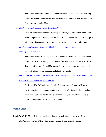This article demonstrates how individuals may have a small exposure to drilling chemicals, which can lead to serious health effects. Chemicals that are endocrine disruptors are explained here.

## 2. [http://www.youtube.com/watch?](http://www.youtube.com/watch)v=HqMHEsiRVa8

Dr. Jill Kriesky speaks at the University of Pittsburgh Public Forum about Public Health Impacts from fracking the Marcellus Shale. The University of Pittsburgh is a big player in conducting studies that analyze the potential health impacts.

3. <http://www.huffingtonpost.com/2012/05/20/geisinger-health-systems->

## fracking\_n\_1531563.html

This article discusses Giesinger Health Systems and its findings on the potential health effects from fracking. Here you will find a video that interviews Professor Tony Ingraffea from Cornell University. He explains the fracking process and why individuals should be concerned about their health.

4. [http://energy.wilkes.edu/PDFFiles/Issues/Env10\\_Potential%20Health%20Effects%20of](http://energy.wilkes.edu/PDFFiles/Issues/Env10_Potential%20Health%20Effects%20of)

%20Marcellus%20Shale%20Activities.pdf

Dr. Bernard D. Goldstein is the Interim Director for the Center for Healthy Environments and Communities at the University of Pittsburgh. Here is a slide show of the potential health effects that Marcellus Shale may have. There is information about the effects on a community.

# **Works Cited**

Brasch, W. (2012, March 18). Fracking: Pennsylvania gags physicians. Retrieved from http://truth-out.org/news/item/7323:fracking-pennsylvania-gags-physicians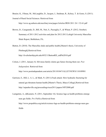Brasier, K., Filteau, M., McLaughlin, D., Jacquet, J., Stedman, R., Kelsey, T. & Goetz, S.(2011). Journal of Rural Social Sciences. Retrieved from

<http://www.ag.auburn.edu/auxiliary/srsa/pages/Articles/JRSS>2011 26 1 32-61.pdf

Brown, D., Casagrande, D., Bill, M., Neti, S., Pazzaglia, F., & Wheat, P. (2012, October). Summary of 2011-2012 activities and plan for 2012-2013.Lehigh University Marcellus Shale Report, Bethlehem, PA.

Button, D. (2010). The Marcellus shale and public health.[Master's thesis, University of Pittsburgh].Retrieved from [http://d-scholarship.pitt.edu/6932/1/ButtonRD\\_etdPitt2010.pdf](http://d-scholarship.pitt.edu/6932/1/ButtonRD_etdPitt2010.pdf)

- Colson, J. (2011, January 4). Silt mesa family claims gas fumes forcing them out. *Post Independent*. Retrieved from <http://www.postindependent.com/article/20110104/VALLEYNEWS/110109981>
- Garrison, E., Hill, L. A. L., & Mark, N. (2011).Frack attack: How hydraulic fracturing for natural gas threatens human health.[Master's Thesis, Ithaca College].Retrieved from <http://urpasheville.org/proceedings/ncur2011/papers/NP52000.pdf>
- Lustgarten, A., &Kusnetz, N. (2011, September 16). Science lags as health problems emerge near gas fields. *Pro Publica.*Retrieved from [http://www.propublica.org/article/science-lags-as-health-problems-emerge-near-gas](http://www.propublica.org/article/science-lags-as-health-problems-emerge-near-gas-)fields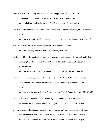- Matthews, R. K. (2012, May 23). What's the fracking problem?.News, Resources, and Commentary on Climate Energy and Sustainability. Retrieved from <http://globalwarmingisreal.com/2012/05/23/whats-the-fracking-problem/>
- New York State Department of Health. (2003). Fact sheet: Tetrachloroethene (perc). Retrieved from

[http://www.health.ny.gov/environmental/chemicals/tetrachloroethene/docs/fs\\_perc.pdf](http://www.health.ny.gov/environmental/chemicals/tetrachloroethene/docs/fs_perc.pdf)

- Parr, Lisa. (2010, July).Earthworks. Retrieved 2 November 2012 from <http://responsiblegold.com/TXOGAP-CaseStudy-Parr.cfm>
- Shelley, T. (2011).The health effects and other hazards of hydrofracking.[Informally published manuscript, Upstate Medical University Public Health Symposium, Syracuse, NY]. Retrieved from

[http://wwwnew.upstate.edu/cnymph/pdf/shelley\\_hydrofracking\\_04-13-11.pdf](http://wwwnew.upstate.edu/cnymph/pdf/shelley_hydrofracking_04-13-11.pdf)

Steinzor, N., Subra, W. &Sumi, L. (2012, October). Gas Patch Roulette: How Shale Gas Development Risks Public Health in Pennsylvania Summary.Earthworks. Retrieved from

<http://www.earthworksaction.org/files/publications/Health-Report-Summary-FINAL.pdf>

- TEDX.Health Effects Spreadsheet and Summary.The Endocrine Disruption Exchange. Retrieved from <http://www.endocrinedisruption.com/chemicals.multistate.php>
- U.S. Department of Health and Human Services: Agency for Toxic Substances and Disease Registry Division of Health Assessment and Consultation, (2010). Public health implications of ambient air exposures as measured in rural and urban oil  $\&$  gas